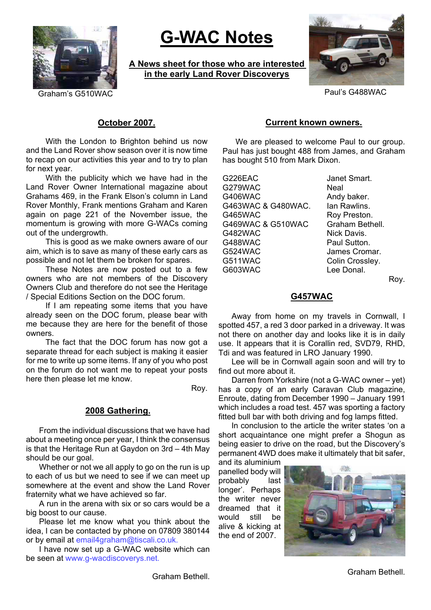

# **G-WAC Notes**

**A News sheet for those who are interested in the early Land Rover Discoverys**



Graham's G510WAC **Paul's G488WAC** 

# **October 2007.**

With the London to Brighton behind us now and the Land Rover show season over it is now time to recap on our activities this year and to try to plan for next year.

With the publicity which we have had in the Land Rover Owner International magazine about Grahams 469, in the Frank Elson's column in Land Rover Monthly, Frank mentions Graham and Karen again on page 221 of the November issue, the momentum is growing with more G-WACs coming out of the undergrowth.

This is good as we make owners aware of our aim, which is to save as many of these early cars as possible and not let them be broken for spares.

These Notes are now posted out to a few owners who are not members of the Discovery Owners Club and therefore do not see the Heritage / Special Editions Section on the DOC forum.

If I am repeating some items that you have already seen on the DOC forum, please bear with me because they are here for the benefit of those owners.

The fact that the DOC forum has now got a separate thread for each subject is making it easier for me to write up some items. If any of you who post on the forum do not want me to repeat your posts here then please let me know.

Roy.

## **2008 Gathering.**

From the individual discussions that we have had about a meeting once per year, I think the consensus is that the Heritage Run at Gaydon on 3rd – 4th May should be our goal.

Whether or not we all apply to go on the run is up to each of us but we need to see if we can meet up somewhere at the event and show the Land Rover fraternity what we have achieved so far.

A run in the arena with six or so cars would be a big boost to our cause.

Please let me know what you think about the idea, I can be contacted by phone on 07809 380144 or by email at email4graham@tiscali.co.uk.

I have now set up a G-WAC website which can be seen at www.g-wacdiscoverys.net.

## **Current known owners.**

We are pleased to welcome Paul to our group. Paul has just bought 488 from James, and Graham has bought 510 from Mark Dixon.

G226EAC Janet Smart. G279WAC Neal G406WAC Andy baker. G463WAC & G480WAC. Ian Rawlins. G465WAC Roy Preston. G469WAC & G510WAC Graham Bethell. G482WAC Nick Davis. G488WAC Paul Sutton. G524WAC James Cromar. G511WAC Colin Crossley. G603WAC Lee Donal.

Roy.

# **G457WAC**

Away from home on my travels in Cornwall, I spotted 457, a red 3 door parked in a driveway. It was not there on another day and looks like it is in daily use. It appears that it is Corallin red, SVD79, RHD, Tdi and was featured in LRO January 1990.

Lee will be in Cornwall again soon and will try to find out more about it.

Darren from Yorkshire (not a G-WAC owner – yet) has a copy of an early Caravan Club magazine, Enroute, dating from December 1990 – January 1991 which includes a road test. 457 was sporting a factory fitted bull bar with both driving and fog lamps fitted.

In conclusion to the article the writer states 'on a short acquaintance one might prefer a Shogun as being easier to drive on the road, but the Discovery's permanent 4WD does make it ultimately that bit safer,

and its aluminium panelled body will probably last longer'. Perhaps the writer never dreamed that it would still be alive & kicking at the end of 2007.



Graham Bethell.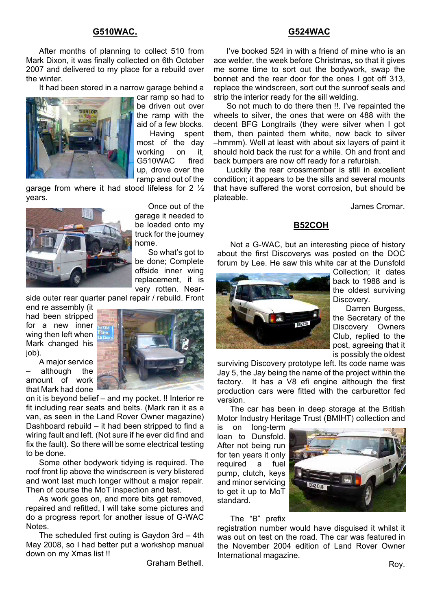#### **G510WAC.**

After months of planning to collect 510 from Mark Dixon, it was finally collected on 6th October 2007 and delivered to my place for a rebuild over the winter.

It had been stored in a narrow garage behind a



car ramp so had to be driven out over the ramp with the aid of a few blocks.

Having spent most of the day working on it, G510WAC fired up, drove over the ramp and out of the

garage from where it had stood lifeless for 2 ½ years.



Once out of the garage it needed to be loaded onto my truck for the journey home.

So what's got to be done; Complete offside inner wing replacement, it is very rotten. Near-

side outer rear quarter panel repair / rebuild. Front

end re assembly (it had been stripped for a new inner wing then left when Mark changed his job).

A major service although the amount of work that Mark had done



on it is beyond belief – and my pocket. !! Interior re fit including rear seats and belts. (Mark ran it as a van, as seen in the Land Rover Owner magazine) Dashboard rebuild – it had been stripped to find a wiring fault and left. (Not sure if he ever did find and fix the fault). So there will be some electrical testing to be done.

Some other bodywork tidying is required. The roof front lip above the windscreen is very blistered and wont last much longer without a major repair. Then of course the MoT inspection and test.

As work goes on, and more bits get removed, repaired and refitted, I will take some pictures and do a progress report for another issue of G-WAC Notes.

The scheduled first outing is Gaydon 3rd – 4th May 2008, so I had better put a workshop manual down on my Xmas list !!

Graham Bethell.

#### **G524WAC**

I've booked 524 in with a friend of mine who is an ace welder, the week before Christmas, so that it gives me some time to sort out the bodywork, swap the bonnet and the rear door for the ones I got off 313, replace the windscreen, sort out the sunroof seals and strip the interior ready for the sill welding.

So not much to do there then !!. I've repainted the wheels to silver, the ones that were on 488 with the decent BFG Longtrails (they were silver when I got them, then painted them white, now back to silver –hmmm). Well at least with about six layers of paint it should hold back the rust for a while. Oh and front and back bumpers are now off ready for a refurbish.

Luckily the rear crossmember is still in excellent condition; it appears to be the sills and several mounts that have suffered the worst corrosion, but should be plateable.

James Cromar.

## **B52COH**

Not a G-WAC, but an interesting piece of history about the first Discoverys was posted on the DOC forum by Lee. He saw this white car at the Dunsfold



Collection; it dates back to 1988 and is the oldest surviving Discovery.

Darren Burgess, the Secretary of the Discovery Owners Club, replied to the post, agreeing that it is possibly the oldest

surviving Discovery prototype left. Its code name was Jay 5, the Jay being the name of the project within the factory. It has a V8 efi engine although the first production cars were fitted with the carburettor fed version.

The car has been in deep storage at the British Motor Industry Heritage Trust (BMIHT) collection and

is on long-term loan to Dunsfold. After not being run for ten years it only required a fuel pump, clutch, keys and minor servicing to get it up to MoT standard.



#### The "B" prefix

registration number would have disguised it whilst it was out on test on the road. The car was featured in the November 2004 edition of Land Rover Owner International magazine.